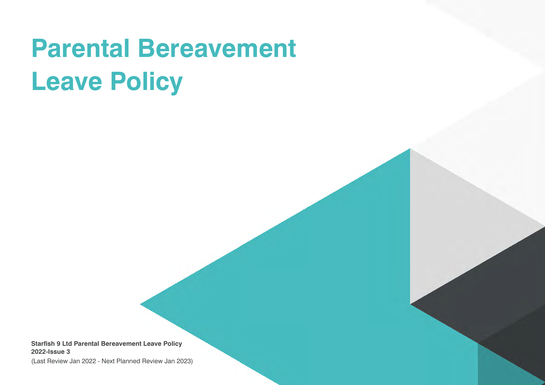# **Parental Bereavement Leave Policy**

**Starfish 9 Ltd Parental Bereavement Leave Policy 2022-Issue 3**

(Last Review Jan 2022 - Next Planned Review Jan 2023)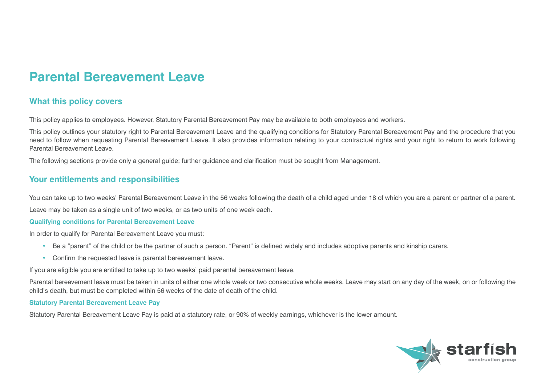# **Parental Bereavement Leave**

# **What this policy covers**

This policy applies to employees. However, Statutory Parental Bereavement Pay may be available to both employees and workers.

This policy outlines your statutory right to Parental Bereavement Leave and the qualifying conditions for Statutory Parental Bereavement Pay and the procedure that you need to follow when requesting Parental Bereavement Leave. It also provides information relating to your contractual rights and your right to return to work following Parental Bereavement Leave.

The following sections provide only a general guide; further guidance and clarification must be sought from Management.

## **Your entitlements and responsibilities**

You can take up to two weeks' Parental Bereavement Leave in the 56 weeks following the death of a child aged under 18 of which you are a parent or partner of a parent. Leave may be taken as a single unit of two weeks, or as two units of one week each.

#### **Qualifying conditions for Parental Bereavement Leave**

In order to qualify for Parental Bereavement Leave you must:

- Be a "parent" of the child or be the partner of such a person. "Parent" is defined widely and includes adoptive parents and kinship carers.
- Confirm the requested leave is parental bereavement leave.

If you are eligible you are entitled to take up to two weeks' paid parental bereavement leave.

Parental bereavement leave must be taken in units of either one whole week or two consecutive whole weeks. Leave may start on any day of the week, on or following the child's death, but must be completed within 56 weeks of the date of death of the child.

#### **Statutory Parental Bereavement Leave Pay**

Statutory Parental Bereavement Leave Pay is paid at a statutory rate, or 90% of weekly earnings, whichever is the lower amount.

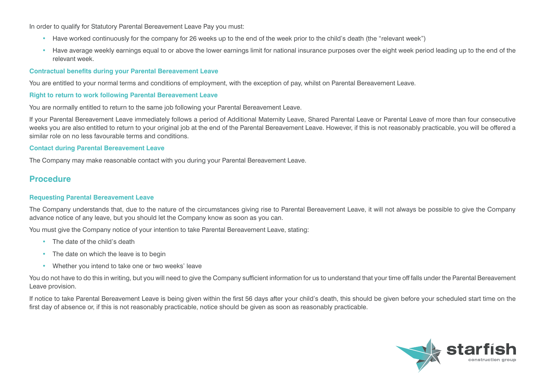In order to qualify for Statutory Parental Bereavement Leave Pay you must:

- Have worked continuously for the company for 26 weeks up to the end of the week prior to the child's death (the "relevant week")
- Have average weekly earnings equal to or above the lower earnings limit for national insurance purposes over the eight week period leading up to the end of the relevant week.

#### **Contractual benefits during your Parental Bereavement Leave**

You are entitled to your normal terms and conditions of employment, with the exception of pay, whilst on Parental Bereavement Leave.

#### **Right to return to work following Parental Bereavement Leave**

You are normally entitled to return to the same job following your Parental Bereavement Leave.

If your Parental Bereavement Leave immediately follows a period of Additional Maternity Leave, Shared Parental Leave or Parental Leave of more than four consecutive weeks you are also entitled to return to your original job at the end of the Parental Bereavement Leave. However, if this is not reasonably practicable, you will be offered a similar role on no less favourable terms and conditions.

#### **Contact during Parental Bereavement Leave**

The Company may make reasonable contact with you during your Parental Bereavement Leave.

### **Procedure**

#### **Requesting Parental Bereavement Leave**

The Company understands that, due to the nature of the circumstances giving rise to Parental Bereavement Leave, it will not always be possible to give the Company advance notice of any leave, but you should let the Company know as soon as you can.

You must give the Company notice of your intention to take Parental Bereavement Leave, stating:

- The date of the child's death
- The date on which the leave is to begin
- Whether you intend to take one or two weeks' leave

You do not have to do this in writing, but you will need to give the Company sufficient information for us to understand that your time off falls under the Parental Bereavement Leave provision.

If notice to take Parental Bereavement Leave is being given within the first 56 days after your child's death, this should be given before your scheduled start time on the first day of absence or, if this is not reasonably practicable, notice should be given as soon as reasonably practicable.